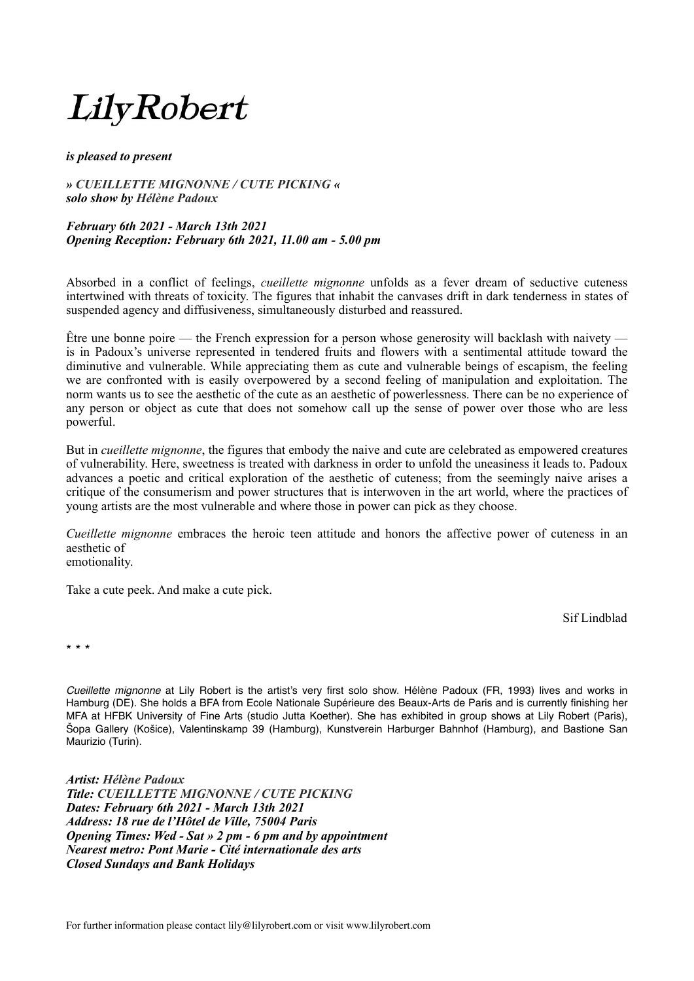## LilyRobert

## *is pleased to present*

*» CUEILLETTE MIGNONNE / CUTE PICKING « solo show by Hélène Padoux* 

## *February 6th 2021 - March 13th 2021 Opening Reception: February 6th 2021, 11.00 am - 5.00 pm*

Absorbed in a conflict of feelings, *cueillette mignonne* unfolds as a fever dream of seductive cuteness intertwined with threats of toxicity. The figures that inhabit the canvases drift in dark tenderness in states of suspended agency and diffusiveness, simultaneously disturbed and reassured.

Être une bonne poire — the French expression for a person whose generosity will backlash with naivety is in Padoux's universe represented in tendered fruits and flowers with a sentimental attitude toward the diminutive and vulnerable. While appreciating them as cute and vulnerable beings of escapism, the feeling we are confronted with is easily overpowered by a second feeling of manipulation and exploitation. The norm wants us to see the aesthetic of the cute as an aesthetic of powerlessness. There can be no experience of any person or object as cute that does not somehow call up the sense of power over those who are less powerful.

But in *cueillette mignonne*, the figures that embody the naive and cute are celebrated as empowered creatures of vulnerability. Here, sweetness is treated with darkness in order to unfold the uneasiness it leads to. Padoux advances a poetic and critical exploration of the aesthetic of cuteness; from the seemingly naive arises a critique of the consumerism and power structures that is interwoven in the art world, where the practices of young artists are the most vulnerable and where those in power can pick as they choose.

*Cueillette mignonne* embraces the heroic teen attitude and honors the affective power of cuteness in an aesthetic of emotionality.

Take a cute peek. And make a cute pick.

Sif Lindblad

\* \* \*

*Cueillette mignonne* at Lily Robert is the artist's very first solo show. Hélène Padoux (FR, 1993) lives and works in Hamburg (DE). She holds a BFA from Ecole Nationale Supérieure des Beaux-Arts de Paris and is currently finishing her MFA at HFBK University of Fine Arts (studio Jutta Koether). She has exhibited in group shows at Lily Robert (Paris), Šopa Gallery (Košice), Valentinskamp 39 (Hamburg), Kunstverein Harburger Bahnhof (Hamburg), and Bastione San Maurizio (Turin).

*Artist: Hélène Padoux Title: CUEILLETTE MIGNONNE / CUTE PICKING Dates: February 6th 2021 - March 13th 2021 Address: 18 rue de l'Hôtel de Ville, 75004 Paris Opening Times: Wed - Sat » 2 pm - 6 pm and by appointment Nearest metro: Pont Marie - Cité internationale des arts Closed Sundays and Bank Holidays*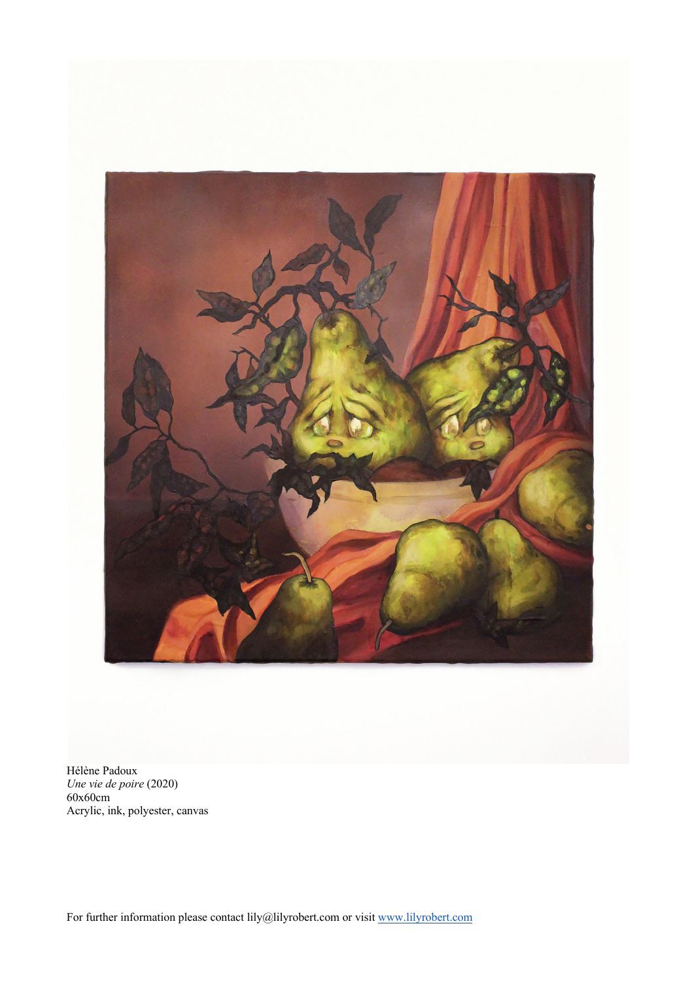

Hélène Padoux *Une vie de poire* (2020) 60x60cm Acrylic, ink, polyester, canvas

For further information please contact lily@lilyrobert.com or visit www.lilyrobert.com